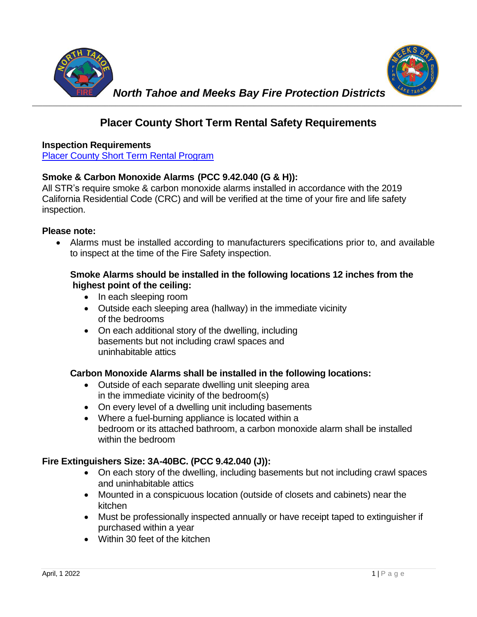

# **Placer County Short Term Rental Safety Requirements**

#### **Inspection Requirements**

[Placer County Short Term Rental Program](https://www.placer.ca.gov/6109/Short-Term-Rental-Program)

## **Smoke & Carbon Monoxide Alarms (PCC 9.42.040 (G & H)):**

All STR's require smoke & carbon monoxide alarms installed in accordance with the 2019 California Residential Code (CRC) and will be verified at the time of your fire and life safety inspection.

#### **Please note:**

• Alarms must be installed according to manufacturers specifications prior to, and available to inspect at the time of the Fire Safety inspection.

#### **Smoke Alarms should be installed in the following locations 12 inches from the highest point of the ceiling:**

- In each sleeping room
- Outside each sleeping area (hallway) in the immediate vicinity of the bedrooms
- On each additional story of the dwelling, including basements but not including crawl spaces and uninhabitable attics

## **Carbon Monoxide Alarms shall be installed in the following locations:**

- Outside of each separate dwelling unit sleeping area in the immediate vicinity of the bedroom(s)
- On every level of a dwelling unit including basements
- Where a fuel-burning appliance is located within a bedroom or its attached bathroom, a carbon monoxide alarm shall be installed within the bedroom

## **Fire Extinguishers Size: 3A-40BC. (PCC 9.42.040 (J)):**

- On each story of the dwelling, including basements but not including crawl spaces and uninhabitable attics
- Mounted in a conspicuous location (outside of closets and cabinets) near the kitchen
- Must be professionally inspected annually or have receipt taped to extinguisher if purchased within a year
- Within 30 feet of the kitchen